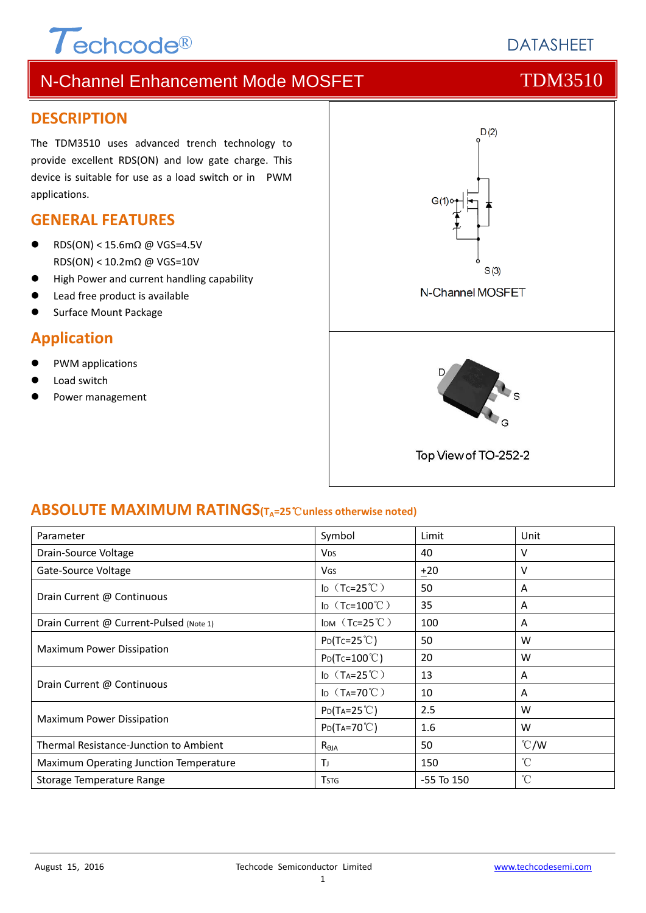# $\tau$ <sub>echcode®</sub>

# **DATASHEFT**

# N-Channel Enhancement Mode MOSFET THE TDM3510

## **DESCRIPTION**

The TDM3510 uses advanced trench technology to provide excellent RDS(ON) and low gate charge. This device is suitable for use as a load switch or in PWM applications.

# **GENERAL FEATURES**

- RDS(ON) < 15.6mΩ @ VGS=4.5V RDS(ON) < 10.2mΩ @ VGS=10V
- High Power and current handling capability
- Lead free product is available
- Surface Mount Package

# **Application**

- PWM applications
- Load switch
- Power management



### **ABSOLUTE MAXIMUM RATINGS(TA=25**℃**unless otherwise noted)**

| Parameter                               | Symbol                        | Limit          | Unit            |
|-----------------------------------------|-------------------------------|----------------|-----------------|
| Drain-Source Voltage                    | <b>V<sub>DS</sub></b>         | 40             | v               |
| Gate-Source Voltage                     | <b>V<sub>GS</sub></b>         | $+20$          | v               |
| Drain Current @ Continuous              | ID $(Tc=25^{\circ}C)$         | 50             | A               |
|                                         | ID $(Tc=100^{\circ}C)$        | 35             | A               |
| Drain Current @ Current-Pulsed (Note 1) | IDM $(Tc=25^{\circ}C)$        | 100            | A               |
| Maximum Power Dissipation               | $P_{D}(Tc=25^{\circ}C)$       | 50             | W               |
|                                         | $Po(Tc=100^{\circ}C)$         | 20             | W               |
| Drain Current @ Continuous              | ID $(T_A=25^{\circ}\text{C})$ | 13             | A               |
|                                         | ID $(T_A=70^{\circ}C)$        | 10             | A               |
| Maximum Power Dissipation               | $P_{D}(T_{A}=25^{\circ}C)$    | 2.5            | W               |
|                                         | $P_{D}(Ta=70^{\circ}C)$       | 1.6            | W               |
| Thermal Resistance-Junction to Ambient  | $R_{\theta$ JA                | 50             | $\degree$ C/W   |
| Maximum Operating Junction Temperature  | T                             | 150            | $\rm ^{\circ}C$ |
| Storage Temperature Range               | <b>T</b> stg                  | $-55$ To $150$ | $\rm ^{\circ}C$ |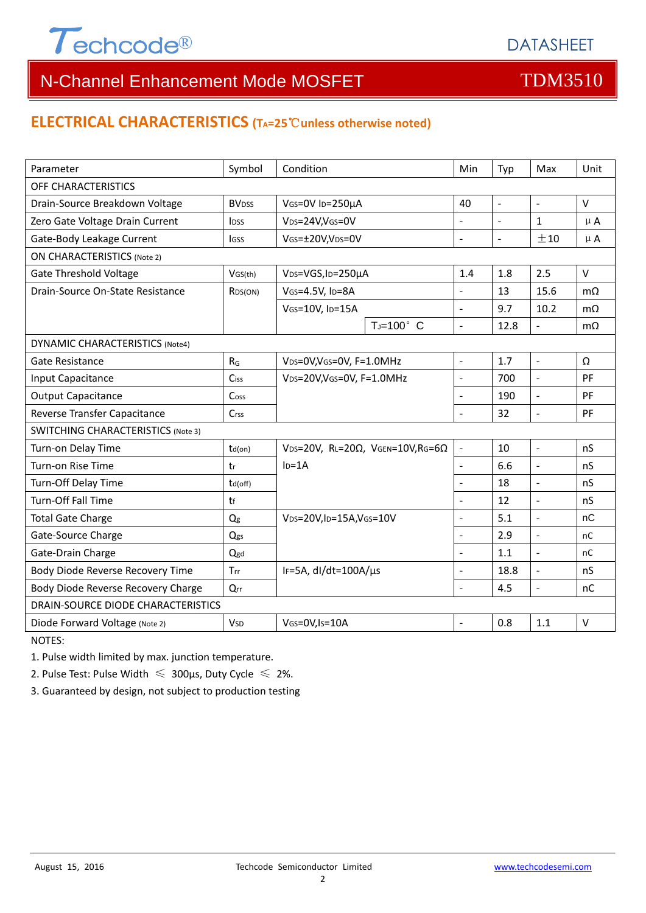

# N-Channel Enhancement Mode MOSFET THE TDM3510

### **ELECTRICAL CHARACTERISTICS (TA=25**℃**unless otherwise noted)**

| Parameter                                 | Symbol                   | Condition                                         | Min                      | Typ                      | Max                 | Unit           |  |  |
|-------------------------------------------|--------------------------|---------------------------------------------------|--------------------------|--------------------------|---------------------|----------------|--|--|
| OFF CHARACTERISTICS                       |                          |                                                   |                          |                          |                     |                |  |  |
| Drain-Source Breakdown Voltage            | <b>BV</b> <sub>DSS</sub> | VGS=0V ID=250µA                                   | 40                       | $\overline{\phantom{a}}$ | $\Box$              | V              |  |  |
| Zero Gate Voltage Drain Current           | <b>l</b> <sub>DSS</sub>  | V <sub>DS</sub> =24V,V <sub>GS</sub> =0V          | $\overline{a}$           |                          | $\mathbf{1}$        | $\mu$ A        |  |  |
| Gate-Body Leakage Current                 | lgss                     | VGS=±20V,VDS=0V                                   | $\overline{a}$           | $\equiv$                 | ±10                 | $\mu$ A        |  |  |
| <b>ON CHARACTERISTICS (Note 2)</b>        |                          |                                                   |                          |                          |                     |                |  |  |
| <b>Gate Threshold Voltage</b>             | VGS(th)                  | VDS=VGS, ID=250µA                                 | 1.4                      | 1.8                      | 2.5                 | $\vee$         |  |  |
| Drain-Source On-State Resistance          | RDS(ON)                  | VGS=4.5V, ID=8A                                   | $\overline{a}$           | 13                       | 15.6                | $m\Omega$      |  |  |
|                                           |                          | VGS=10V, ID=15A                                   | $\overline{a}$           | 9.7                      | 10.2                | m <sub>O</sub> |  |  |
|                                           |                          | $T_J=100^\circ$ C                                 | $\overline{a}$           | 12.8                     | $\blacksquare$      | $m\Omega$      |  |  |
| <b>DYNAMIC CHARACTERISTICS (Note4)</b>    |                          |                                                   |                          |                          |                     |                |  |  |
| <b>Gate Resistance</b>                    | $R_G$                    | VDS=0V, VGS=0V, F=1.0MHz                          | $\overline{a}$           | 1.7                      | $\sim$              | Ω              |  |  |
| Input Capacitance                         | Ciss                     | VDS=20V, VGS=0V, F=1.0MHz                         | $\overline{a}$           | 700                      | $\overline{a}$      | PF             |  |  |
| <b>Output Capacitance</b>                 | Coss                     |                                                   | $\overline{a}$           | 190                      | $\blacksquare$      | PF             |  |  |
| Reverse Transfer Capacitance              | $C$ rss                  |                                                   | $\overline{a}$           | 32                       | $\overline{a}$      | PF             |  |  |
| <b>SWITCHING CHARACTERISTICS (Note 3)</b> |                          |                                                   |                          |                          |                     |                |  |  |
| Turn-on Delay Time                        | $td($ on $)$             | VDS=20V, RL=20 $\Omega$ , VGEN=10V, RG=6 $\Omega$ | $\overline{\phantom{a}}$ | 10                       | $\bar{\phantom{a}}$ | nS             |  |  |
| Turn-on Rise Time                         | tr                       | $ID=1A$                                           | ÷,                       | 6.6                      | $\Box$              | nS             |  |  |
| Turn-Off Delay Time                       | td(off)                  |                                                   |                          | 18                       | $\overline{a}$      | nS             |  |  |
| <b>Turn-Off Fall Time</b>                 | tf                       |                                                   |                          | 12                       | $\overline{a}$      | nS             |  |  |
| <b>Total Gate Charge</b>                  | Qg                       | VDS=20V,ID=15A,VGS=10V                            | $\overline{a}$           | 5.1                      | $\blacksquare$      | nC             |  |  |
| Gate-Source Charge                        | Qgs                      |                                                   |                          | 2.9                      | $\overline{a}$      | nC             |  |  |
| Gate-Drain Charge                         | Qgd                      |                                                   |                          | 1.1                      | $\overline{a}$      | nC             |  |  |
| Body Diode Reverse Recovery Time          | Trr                      | IF=5A, dl/dt=100A/µs                              | $\overline{a}$           | 18.8                     | $\Box$              | nS             |  |  |
| Body Diode Reverse Recovery Charge        | Qrr                      |                                                   | $\overline{a}$           | 4.5                      | $\Box$              | nC             |  |  |
| DRAIN-SOURCE DIODE CHARACTERISTICS        |                          |                                                   |                          |                          |                     |                |  |  |
| Diode Forward Voltage (Note 2)            | <b>V<sub>SD</sub></b>    | VGS=0V,Is=10A                                     | $\overline{a}$           | 0.8                      | 1.1                 | $\vee$         |  |  |

NOTES:

1. Pulse width limited by max. junction temperature.

2. Pulse Test: Pulse Width  $\leq 300$ μs, Duty Cycle  $\leq 2\%$ .

3. Guaranteed by design, not subject to production testing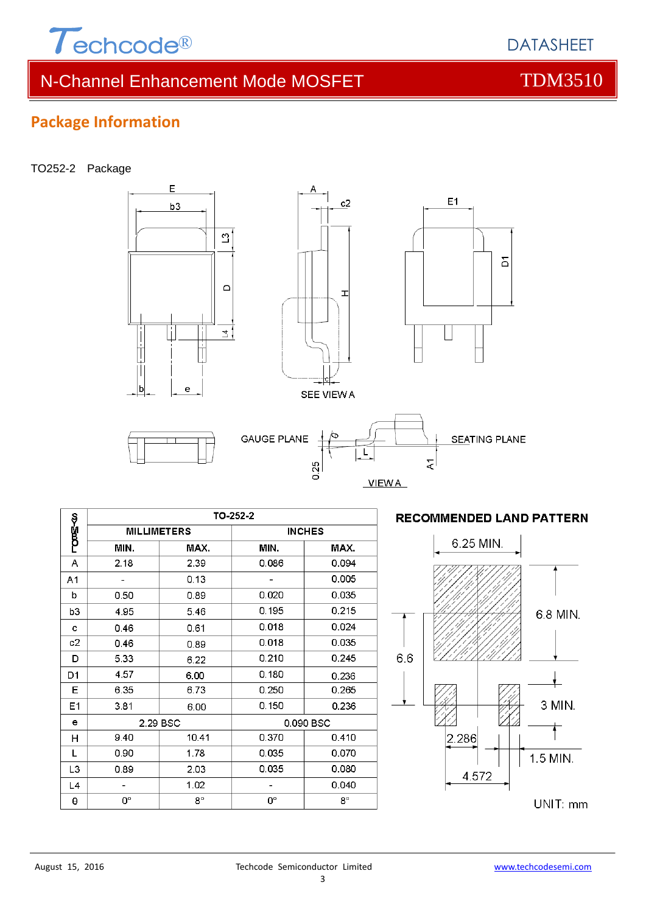

# N-Channel Enhancement Mode MOSFET THE TDM3510

**DATASHEFT** 

## **Package Information**

### TO252-2 Package



### TO-252-2 ాయణా⊰ం **INCHES MILLIMETERS** MIN. MAX. MIN. MAX.  $2.39$  $\overline{A}$  $2.18$ 0.086 0.094  $\overline{\phantom{a}}$  $0.005$  $\mathbb{Z}$  $0.13$  $A<sub>1</sub>$  $0.50$  $0.020$ 0.035  $\mathbf b$ 0.89  $0.195$  $0.215$ 4.95 5.46  $b3$  $0.018$  $0.024$  $0.46$  $0.61$ c  $0.018$ 0.035  $c2$ 0.46 0.89  $0.210$  $0.245$ D 5.33 6.22 4.57 D<sub>1</sub>  $0.180$ 6.00 0.236  $0.250$ 6.35  $E$ 6.73 0.265  $E<sub>1</sub>$  $3.81$ 6.00  $0.150$ 0.236 e 2.29 BSC 0.090 BSC 9.40 10.41 0.370  $0.410$  $H$  $\overline{L}$  $0.90$  $1.78$  $0.035$  $0.070$ 2.03  $0.035$  $0.080$ L<sub>3</sub> 0.89  $L<sub>4</sub>$  $\overline{a}$ 1.02  $\overline{a}$  $0.040$  $8^{\circ}$  $\boldsymbol{\theta}$  $\mathbf{O}^{\circ}$  $\mathbf{0}^\circ$  $8^{\circ}$